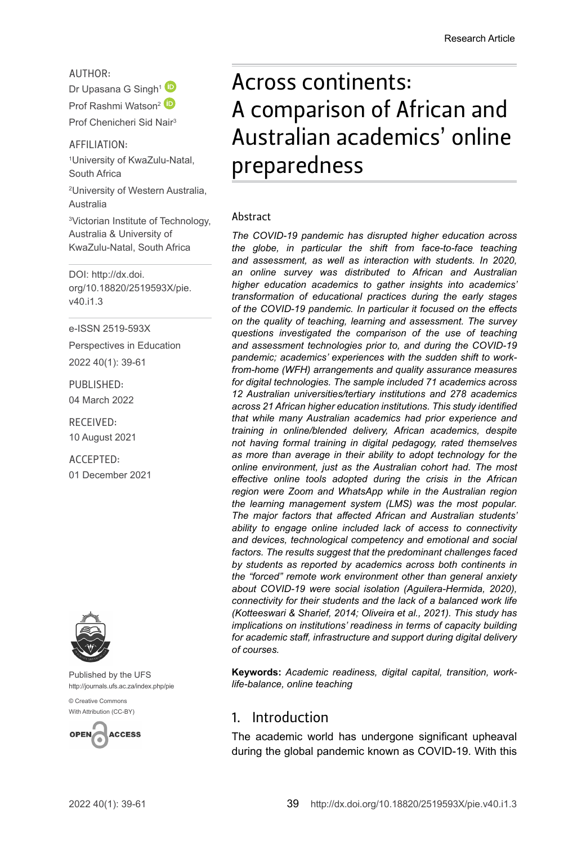AUTHOR:

Dr Upasana G Singh<sup>[1](http://orcid.org/0000-0002-9943-011X)</sup> Prof Rashmi Watson<sup>2</sup> Prof Chenicheri Sid Nair3

#### AFFILIATION:

1 University of KwaZulu-Natal, South Africa

2 University of Western Australia, Australia

3 Victorian Institute of Technology, Australia & University of KwaZulu-Natal, South Africa

DOI: [http://dx.doi.](http://dx.doi.org/10.18820/2519593X/pie.v40.i1.3) [org/10.18820/2519593X/p](http://dx.doi.org/10.18820/2519593X/pie.v40.i1.3)ie. v40.i1.3

e-ISSN 2519-593X

Perspectives in Education 2022 40(1): 39-61

PUBLISHED: 04 March 2022

RECEIVED: 10 August 2021

ACCEPTED: 01 December 2021



Published by the UFS [http://journals.ufs.ac.za/index.php/pie](http://www.statssa.gov.za/?p=11341)

[© Creative Commons](http://documents.worldbank.org/curated/en/530481521735906534/Overcoming-Poverty-and-Inequality-in-South-Africa-An-Assessment-of-Drivers-Constraints-and-Opportunities)  [With Attribution \(CC-BY\)](http://documents.worldbank.org/curated/en/530481521735906534/Overcoming-Poverty-and-Inequality-in-South-Africa-An-Assessment-of-Drivers-Constraints-and-Opportunities)



# Across continents: A comparison of African and Australian academics' online preparedness

#### Abstract

*The COVID-19 pandemic has disrupted higher education across the globe, in particular the shift from face-to-face teaching and assessment, as well as interaction with students. In 2020, an online survey was distributed to African and Australian higher education academics to gather insights into academics' transformation of educational practices during the early stages of the COVID-19 pandemic. In particular it focused on the effects on the quality of teaching, learning and assessment. The survey questions investigated the comparison of the use of teaching and assessment technologies prior to, and during the COVID-19 pandemic; academics' experiences with the sudden shift to workfrom-home (WFH) arrangements and quality assurance measures for digital technologies. The sample included 71 academics across 12 Australian universities/tertiary institutions and 278 academics across 21 African higher education institutions. This study identified that while many Australian academics had prior experience and training in online/blended delivery, African academics, despite not having formal training in digital pedagogy, rated themselves as more than average in their ability to adopt technology for the online environment, just as the Australian cohort had. The most effective online tools adopted during the crisis in the African region were Zoom and WhatsApp while in the Australian region the learning management system (LMS) was the most popular. The major factors that affected African and Australian students' ability to engage online included lack of access to connectivity and devices, technological competency and emotional and social factors. The results suggest that the predominant challenges faced by students as reported by academics across both continents in the "forced" remote work environment other than general anxiety about COVID-19 were social isolation (Aguilera-Hermida, 2020), connectivity for their students and the lack of a balanced work life (Kotteeswari & Sharief, 2014; Oliveira et al., 2021). This study has implications on institutions' readiness in terms of capacity building for academic staff, infrastructure and support during digital delivery of courses.*

**Keywords:** *Academic readiness, digital capital, transition, worklife-balance, online teaching*

## 1. Introduction

The academic world has undergone significant upheaval during the global pandemic known as COVID-19. With this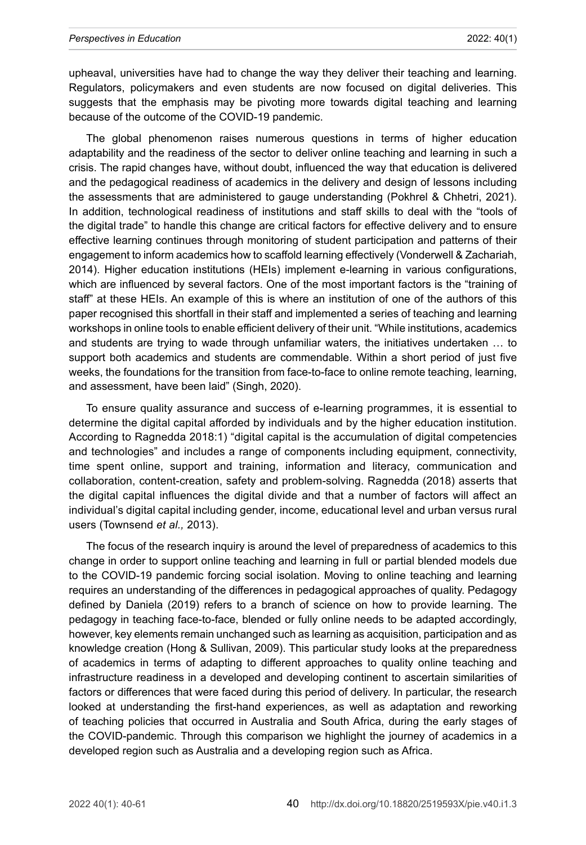upheaval, universities have had to change the way they deliver their teaching and learning. Regulators, policymakers and even students are now focused on digital deliveries. This suggests that the emphasis may be pivoting more towards digital teaching and learning because of the outcome of the COVID-19 pandemic.

The global phenomenon raises numerous questions in terms of higher education adaptability and the readiness of the sector to deliver online teaching and learning in such a crisis. The rapid changes have, without doubt, influenced the way that education is delivered and the pedagogical readiness of academics in the delivery and design of lessons including the assessments that are administered to gauge understanding [\(Pokhrel](https://journals.sagepub.com/doi/full/10.1177/2347631120983481) & [Chhetri,](https://journals.sagepub.com/doi/full/10.1177/2347631120983481) 2021). In addition, technological readiness of institutions and staff skills to deal with the "tools of the digital trade" to handle this change are critical factors for effective delivery and to ensure effective learning continues through monitoring of student participation and patterns of their engagement to inform academics how to scaffold learning effectively (Vonderwell & Zachariah, 2014). Higher education institutions (HEIs) implement e-learning in various configurations, which are influenced by several factors. One of the most important factors is the "training of staff" at these HEIs. An example of this is where an institution of one of the authors of this paper recognised this shortfall in their staff and implemented a series of teaching and learning workshops in online tools to enable efficient delivery of their unit. "While institutions, academics and students are trying to wade through unfamiliar waters, the initiatives undertaken … to support both academics and students are commendable. Within a short period of just five weeks, the foundations for the transition from face-to-face to online remote teaching, learning, and assessment, have been laid" (Singh, 2020).

To ensure quality assurance and success of e-learning programmes, it is essential to determine the digital capital afforded by individuals and by the higher education institution. According to Ragnedda 2018:1) "digital capital is the accumulation of digital competencies and technologies" and includes a range of components including equipment, connectivity, time spent online, support and training, information and literacy, communication and collaboration, content-creation, safety and problem-solving. Ragnedda (2018) asserts that the digital capital influences the digital divide and that a number of factors will affect an individual's digital capital including gender, income, educational level and urban versus rural users (Townsend *et al.,* 2013).

The focus of the research inquiry is around the level of preparedness of academics to this change in order to support online teaching and learning in full or partial blended models due to the COVID-19 pandemic forcing social isolation. Moving to online teaching and learning requires an understanding of the differences in pedagogical approaches of quality. Pedagogy defined by Daniela (2019) refers to a branch of science on how to provide learning. The pedagogy in teaching face-to-face, blended or fully online needs to be adapted accordingly, however, key elements remain unchanged such as learning as acquisition, participation and as knowledge creation (Hong & Sullivan, 2009). This particular study looks at the preparedness of academics in terms of adapting to different approaches to quality online teaching and infrastructure readiness in a developed and developing continent to ascertain similarities of factors or differences that were faced during this period of delivery. In particular, the research looked at understanding the first-hand experiences, as well as adaptation and reworking of teaching policies that occurred in Australia and South Africa, during the early stages of the COVID-pandemic. Through this comparison we highlight the journey of academics in a developed region such as Australia and a developing region such as Africa.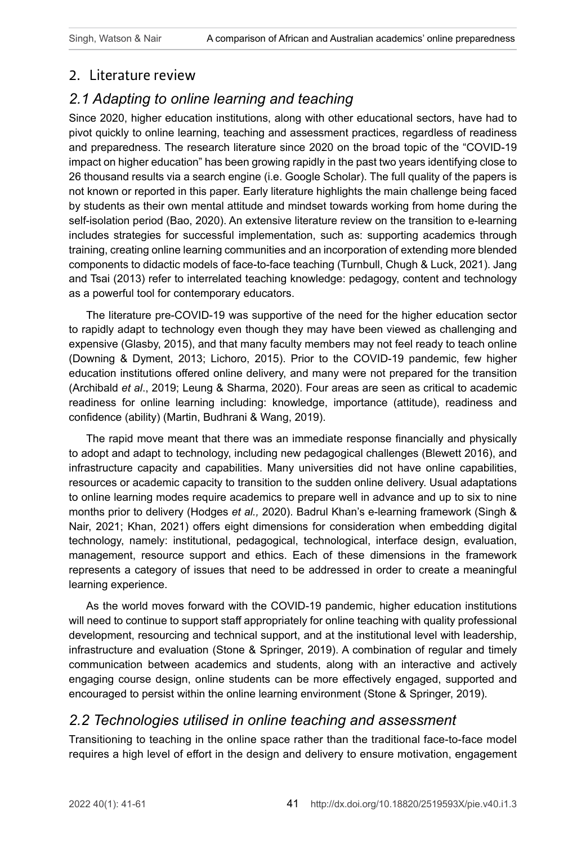## 2. Literature review

# *2.1 Adapting to online learning and teaching*

Since 2020, higher education institutions, along with other educational sectors, have had to pivot quickly to online learning, teaching and assessment practices, regardless of readiness and preparedness. The research literature since 2020 on the broad topic of the "COVID-19 impact on higher education" has been growing rapidly in the past two years identifying close to 26 thousand results via a search engine (i.e. Google Scholar). The full quality of the papers is not known or reported in this paper. Early literature highlights the main challenge being faced by students as their own mental attitude and mindset towards working from home during the self-isolation period (Bao, 2020). An extensive literature review on the transition to e-learning includes strategies for successful implementation, such as: supporting academics through training, creating online learning communities and an incorporation of extending more blended components to didactic models of face-to-face teaching (Turnbull, Chugh & Luck, 2021). Jang and Tsai (2013) refer to interrelated teaching knowledge: pedagogy, content and technology as a powerful tool for contemporary educators.

The literature pre-COVID-19 was supportive of the need for the higher education sector to rapidly adapt to technology even though they may have been viewed as challenging and expensive (Glasby, 2015), and that many faculty members may not feel ready to teach online (Downing & Dyment, 2013; Lichoro, 2015). Prior to the COVID-19 pandemic, few higher education institutions offered online delivery, and many were not prepared for the transition (Archibald *et al*., 2019; Leung & Sharma, 2020). Four areas are seen as critical to academic readiness for online learning including: knowledge, importance (attitude), readiness and confidence (ability) (Martin, Budhrani & Wang, 2019).

The rapid move meant that there was an immediate response financially and physically to adopt and adapt to technology, including new pedagogical challenges (Blewett 2016), and infrastructure capacity and capabilities. Many universities did not have online capabilities, resources or academic capacity to transition to the sudden online delivery. Usual adaptations to online learning modes require academics to prepare well in advance and up to six to nine months prior to delivery (Hodges *et al.,* 2020). Badrul Khan's e-learning framework (Singh & Nair, 2021; Khan, 2021) offers eight dimensions for consideration when embedding digital technology, namely: institutional, pedagogical, technological, interface design, evaluation, management, resource support and ethics. Each of these dimensions in the framework represents a category of issues that need to be addressed in order to create a meaningful learning experience.

As the world moves forward with the COVID-19 pandemic, higher education institutions will need to continue to support staff appropriately for online teaching with quality professional development, resourcing and technical support, and at the institutional level with leadership, infrastructure and evaluation (Stone & Springer, 2019). A combination of regular and timely communication between academics and students, along with an interactive and actively engaging course design, online students can be more effectively engaged, supported and encouraged to persist within the online learning environment (Stone & Springer, 2019).

## *2.2 Technologies utilised in online teaching and assessment*

Transitioning to teaching in the online space rather than the traditional face-to-face model requires a high level of effort in the design and delivery to ensure motivation, engagement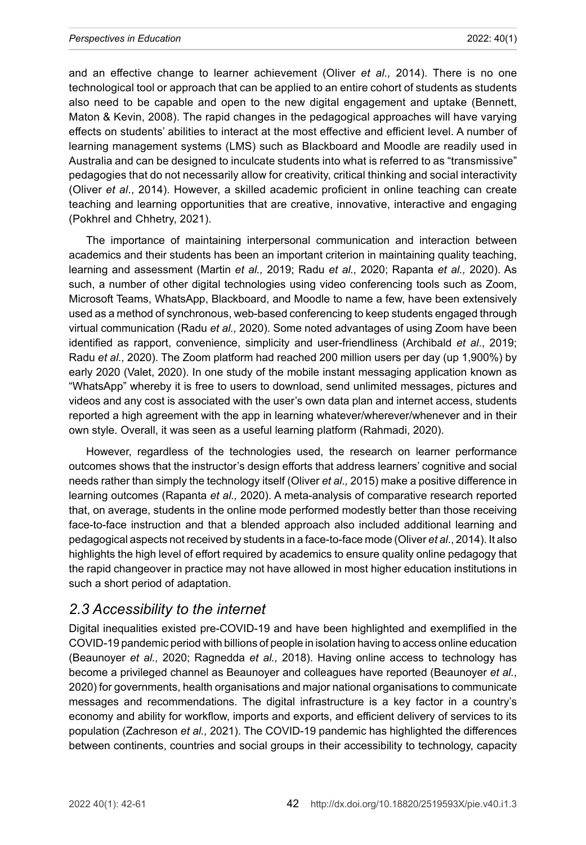and an effective change to learner achievement (Oliver *et al.,* 2014). There is no one technological tool or approach that can be applied to an entire cohort of students as students also need to be capable and open to the new digital engagement and uptake (Bennett, Maton & Kevin, 2008). The rapid changes in the pedagogical approaches will have varying effects on students' abilities to interact at the most effective and efficient level. A number of learning management systems (LMS) such as Blackboard and Moodle are readily used in Australia and can be designed to inculcate students into what is referred to as "transmissive" pedagogies that do not necessarily allow for creativity, critical thinking and social interactivity (Oliver *et al*., 2014). However, a skilled academic proficient in online teaching can create teaching and learning opportunities that are creative, innovative, interactive and engaging (Pokhrel and Chhetry, 2021).

The importance of maintaining interpersonal communication and interaction between academics and their students has been an important criterion in maintaining quality teaching, learning and assessment (Martin *et al.,* 2019; Radu *et al.,* 2020; Rapanta *et al.,* 2020). As such, a number of other digital technologies using video conferencing tools such as Zoom, Microsoft Teams, WhatsApp, Blackboard, and Moodle to name a few, have been extensively used as a method of synchronous, web-based conferencing to keep students engaged through virtual communication (Radu *et al.,* 2020). Some noted advantages of using Zoom have been identified as rapport, convenience, simplicity and user-friendliness (Archibald *et al*., 2019; Radu *et al.,* 2020). The Zoom platform had reached 200 million users per day (up 1,900%) by early 2020 (Valet, 2020). In one study of the mobile instant messaging application known as "WhatsApp" whereby it is free to users to download, send unlimited messages, pictures and videos and any cost is associated with the user's own data plan and internet access, students reported a high agreement with the app in learning whatever/wherever/whenever and in their own style. Overall, it was seen as a useful learning platform (Rahmadi, 2020).

However, regardless of the technologies used, the research on learner performance outcomes shows that the instructor's design efforts that address learners' cognitive and social needs rather than simply the technology itself (Oliver *et al.,* 2015) make a positive difference in learning outcomes (Rapanta *et al.,* 2020). A meta-analysis of comparative research reported that, on average, students in the online mode performed modestly better than those receiving face-to-face instruction and that a blended approach also included additional learning and pedagogical aspects not received by students in a face-to-face mode (Oliver *et al*., 2014). It also highlights the high level of effort required by academics to ensure quality online pedagogy that the rapid changeover in practice may not have allowed in most higher education institutions in such a short period of adaptation.

## *2.3 Accessibility to the internet*

Digital inequalities existed pre-COVID-19 and have been highlighted and exemplified in the COVID-19 pandemic period with billions of people in isolation having to access online education (Beaunoyer *et al.,* 2020; Ragnedda *et al.,* 2018). Having online access to technology has become a privileged channel as Beaunoyer and colleagues have reported (Beaunoyer *et al.*, 2020) for governments, health organisations and major national organisations to communicate messages and recommendations. The digital infrastructure is a key factor in a country's economy and ability for workflow, imports and exports, and efficient delivery of services to its population (Zachreson *et al.,* 2021). The COVID-19 pandemic has highlighted the differences between continents, countries and social groups in their accessibility to technology, capacity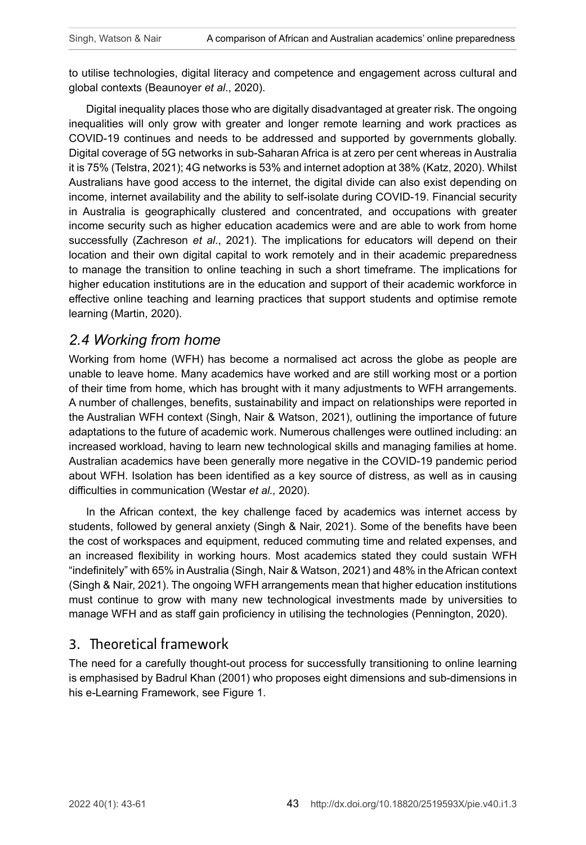to utilise technologies, digital literacy and competence and engagement across cultural and global contexts (Beaunoyer *et al*., 2020).

Digital inequality places those who are digitally disadvantaged at greater risk. The ongoing inequalities will only grow with greater and longer remote learning and work practices as COVID-19 continues and needs to be addressed and supported by governments globally. Digital coverage of 5G networks in sub-Saharan Africa is at zero per cent whereas in Australia it is 75% (Telstra, 2021); 4G networks is 53% and internet adoption at 38% (Katz, 2020). Whilst Australians have good access to the internet, the digital divide can also exist depending on income, internet availability and the ability to self-isolate during COVID-19. Financial security in Australia is geographically clustered and concentrated, and occupations with greater income security such as higher education academics were and are able to work from home successfully (Zachreson *et al*., 2021). The implications for educators will depend on their location and their own digital capital to work remotely and in their academic preparedness to manage the transition to online teaching in such a short timeframe. The implications for higher education institutions are in the education and support of their academic workforce in effective online teaching and learning practices that support students and optimise remote learning (Martin, 2020).

## *2.4 Working from home*

Working from home (WFH) has become a normalised act across the globe as people are unable to leave home. Many academics have worked and are still working most or a portion of their time from home, which has brought with it many adjustments to WFH arrangements. A number of challenges, benefits, sustainability and impact on relationships were reported in the Australian WFH context (Singh, Nair & Watson, 2021), outlining the importance of future adaptations to the future of academic work. Numerous challenges were outlined including: an increased workload, having to learn new technological skills and managing families at home. Australian academics have been generally more negative in the COVID-19 pandemic period about WFH. Isolation has been identified as a key source of distress, as well as in causing difficulties in communication (Westar *et al.,* 2020).

In the African context, the key challenge faced by academics was internet access by students, followed by general anxiety (Singh & Nair, 2021). Some of the benefits have been the cost of workspaces and equipment, reduced commuting time and related expenses, and an increased flexibility in working hours. Most academics stated they could sustain WFH "indefinitely" with 65% in Australia (Singh, Nair & Watson, 2021) and 48% in the African context (Singh & Nair, 2021). The ongoing WFH arrangements mean that higher education institutions must continue to grow with many new technological investments made by universities to manage WFH and as staff gain proficiency in utilising the technologies (Pennington, 2020).

## 3. Theoretical framework

The need for a carefully thought-out process for successfully transitioning to online learning is emphasised by Badrul Khan (2001) who proposes eight dimensions and sub-dimensions in his e-Learning Framework, see Figure 1.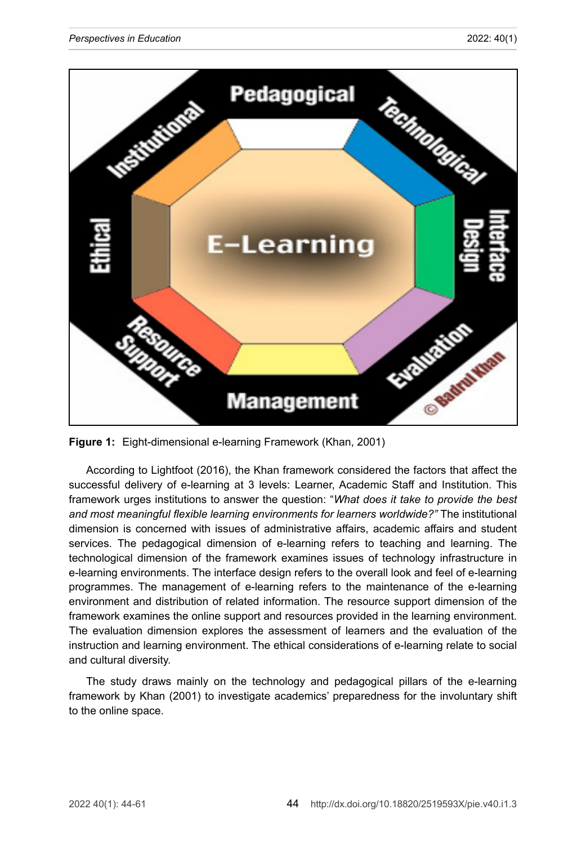

**Figure 1:** Eight-dimensional e-learning Framework (Khan, 2001)

According to Lightfoot (2016), the Khan framework considered the factors that affect the successful delivery of e-learning at 3 levels: Learner, Academic Staff and Institution. This framework urges institutions to answer the question: "*What does it take to provide the best and most meaningful flexible learning environments for learners worldwide?"* The institutional dimension is concerned with issues of administrative affairs, academic affairs and student services. The pedagogical dimension of e-learning refers to teaching and learning. The technological dimension of the framework examines issues of technology infrastructure in e-learning environments. The interface design refers to the overall look and feel of e-learning programmes. The management of e-learning refers to the maintenance of the e-learning environment and distribution of related information. The resource support dimension of the framework examines the online support and resources provided in the learning environment. The evaluation dimension explores the assessment of learners and the evaluation of the instruction and learning environment. The ethical considerations of e-learning relate to social and cultural diversity.

The study draws mainly on the technology and pedagogical pillars of the e-learning framework by Khan (2001) to investigate academics' preparedness for the involuntary shift to the online space.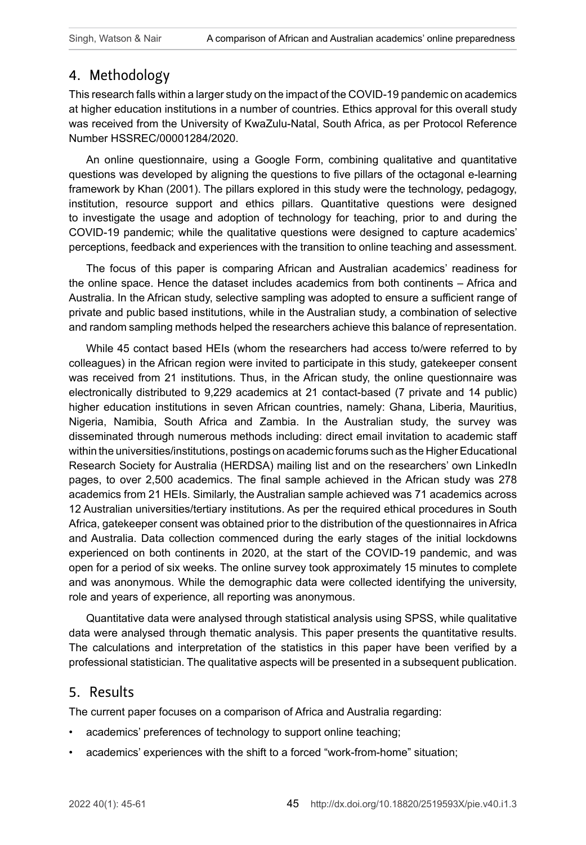# 4. Methodology

This research falls within a larger study on the impact of the COVID-19 pandemic on academics at higher education institutions in a number of countries. Ethics approval for this overall study was received from the University of KwaZulu-Natal, South Africa, as per Protocol Reference Number HSSREC/00001284/2020.

An online questionnaire, using a Google Form, combining qualitative and quantitative questions was developed by aligning the questions to five pillars of the octagonal e-learning framework by Khan (2001). The pillars explored in this study were the technology, pedagogy, institution, resource support and ethics pillars. Quantitative questions were designed to investigate the usage and adoption of technology for teaching, prior to and during the COVID-19 pandemic; while the qualitative questions were designed to capture academics' perceptions, feedback and experiences with the transition to online teaching and assessment.

The focus of this paper is comparing African and Australian academics' readiness for the online space. Hence the dataset includes academics from both continents – Africa and Australia. In the African study, selective sampling was adopted to ensure a sufficient range of private and public based institutions, while in the Australian study, a combination of selective and random sampling methods helped the researchers achieve this balance of representation.

While 45 contact based HEIs (whom the researchers had access to/were referred to by colleagues) in the African region were invited to participate in this study, gatekeeper consent was received from 21 institutions. Thus, in the African study, the online questionnaire was electronically distributed to 9,229 academics at 21 contact-based (7 private and 14 public) higher education institutions in seven African countries, namely: Ghana, Liberia, Mauritius, Nigeria, Namibia, South Africa and Zambia. In the Australian study, the survey was disseminated through numerous methods including: direct email invitation to academic staff within the universities/institutions, postings on academic forums such as the Higher Educational Research Society for Australia (HERDSA) mailing list and on the researchers' own LinkedIn pages, to over 2,500 academics. The final sample achieved in the African study was 278 academics from 21 HEIs. Similarly, the Australian sample achieved was 71 academics across 12 Australian universities/tertiary institutions. As per the required ethical procedures in South Africa, gatekeeper consent was obtained prior to the distribution of the questionnaires in Africa and Australia. Data collection commenced during the early stages of the initial lockdowns experienced on both continents in 2020, at the start of the COVID-19 pandemic, and was open for a period of six weeks. The online survey took approximately 15 minutes to complete and was anonymous. While the demographic data were collected identifying the university, role and years of experience, all reporting was anonymous.

Quantitative data were analysed through statistical analysis using SPSS, while qualitative data were analysed through thematic analysis. This paper presents the quantitative results. The calculations and interpretation of the statistics in this paper have been verified by a professional statistician. The qualitative aspects will be presented in a subsequent publication.

#### 5. Results

The current paper focuses on a comparison of Africa and Australia regarding:

- academics' preferences of technology to support online teaching;
- academics' experiences with the shift to a forced "work-from-home" situation;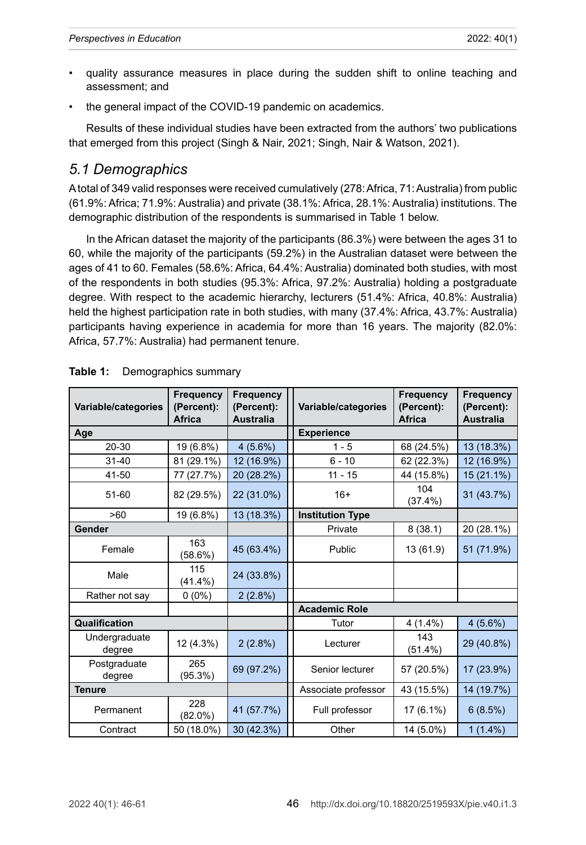- quality assurance measures in place during the sudden shift to online teaching and assessment; and
- the general impact of the COVID-19 pandemic on academics.

Results of these individual studies have been extracted from the authors' two publications that emerged from this project (Singh & Nair, 2021; Singh, Nair & Watson, 2021).

## *5.1 Demographics*

A total of 349 valid responses were received cumulatively (278: Africa, 71: Australia) from public (61.9%: Africa; 71.9%: Australia) and private (38.1%: Africa, 28.1%: Australia) institutions. The demographic distribution of the respondents is summarised in Table 1 below.

In the African dataset the majority of the participants (86.3%) were between the ages 31 to 60, while the majority of the participants (59.2%) in the Australian dataset were between the ages of 41 to 60. Females (58.6%: Africa, 64.4%: Australia) dominated both studies, with most of the respondents in both studies (95.3%: Africa, 97.2%: Australia) holding a postgraduate degree. With respect to the academic hierarchy, lecturers (51.4%: Africa, 40.8%: Australia) held the highest participation rate in both studies, with many (37.4%: Africa, 43.7%: Australia) participants having experience in academia for more than 16 years. The majority (82.0%: Africa, 57.7%: Australia) had permanent tenure.

| Variable/categories     | Frequency<br>(Percent): | Frequency<br>(Percent): | Variable/categories     | Frequency<br>(Percent): | Frequency<br>(Percent): |
|-------------------------|-------------------------|-------------------------|-------------------------|-------------------------|-------------------------|
|                         | <b>Africa</b>           | <b>Australia</b>        |                         | <b>Africa</b>           | <b>Australia</b>        |
| Age                     |                         |                         | <b>Experience</b>       |                         |                         |
| 20-30                   | 19 (6.8%)               | $4(5.6\%)$              | $1 - 5$                 | 68 (24.5%)              | 13 (18.3%)              |
| $31 - 40$               | 81 (29.1%)              | 12 (16.9%)              | $6 - 10$                | 62 (22.3%)              | 12 (16.9%)              |
| 41-50                   | 77 (27.7%)              | 20 (28.2%)              | $11 - 15$               | 44 (15.8%)              | 15 (21.1%)              |
| 51-60                   | 82 (29.5%)              | 22 (31.0%)              | $16+$                   | 104<br>(37.4%)          | 31 (43.7%)              |
| >60                     | 19 (6.8%)               | 13 (18.3%)              | <b>Institution Type</b> |                         |                         |
| Gender                  |                         |                         | Private                 | 8(38.1)                 | 20 (28.1%)              |
| Female                  | 163<br>(58.6%)          | 45 (63.4%)              | Public                  | 13 (61.9)               | 51 (71.9%)              |
| Male                    | 115<br>$(41.4\%)$       | 24 (33.8%)              |                         |                         |                         |
| Rather not say          | $0(0\%)$                | 2(2.8%)                 |                         |                         |                         |
|                         |                         |                         | <b>Academic Role</b>    |                         |                         |
| Qualification           |                         |                         | Tutor                   | $4(1.4\%)$              | 4(5.6%)                 |
| Undergraduate<br>degree | 12 (4.3%)               | $2(2.8\%)$              | Lecturer                | 143<br>$(51.4\%)$       | 29 (40.8%)              |
| Postgraduate<br>degree  | 265<br>(95.3%)          | 69 (97.2%)              | Senior lecturer         | 57 (20.5%)              | 17 (23.9%)              |
| <b>Tenure</b>           |                         |                         | Associate professor     | 43 (15.5%)              | 14 (19.7%)              |
| Permanent               | 228<br>$(82.0\%)$       | 41 (57.7%)              | Full professor          | $17(6.1\%)$             | 6(8.5%)                 |
| Contract                | 50 (18.0%)              | 30 (42.3%)              | Other                   | 14 (5.0%)               | $1(1.4\%)$              |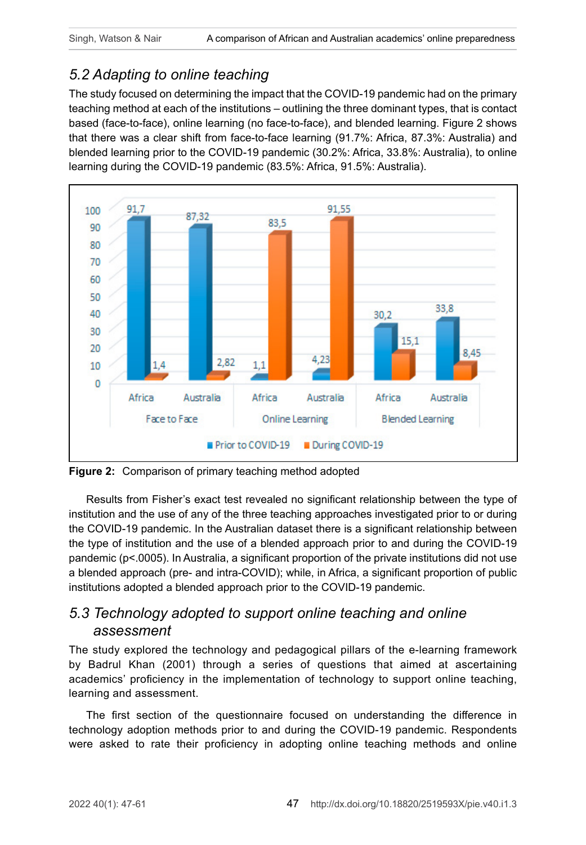# *5.2 Adapting to online teaching*

The study focused on determining the impact that the COVID-19 pandemic had on the primary teaching method at each of the institutions – outlining the three dominant types, that is contact based (face-to-face), online learning (no face-to-face), and blended learning. Figure 2 shows that there was a clear shift from face-to-face learning (91.7%: Africa, 87.3%: Australia) and blended learning prior to the COVID-19 pandemic (30.2%: Africa, 33.8%: Australia), to online learning during the COVID-19 pandemic (83.5%: Africa, 91.5%: Australia).



**Figure 2:** Comparison of primary teaching method adopted

Results from Fisher's exact test revealed no significant relationship between the type of institution and the use of any of the three teaching approaches investigated prior to or during the COVID-19 pandemic. In the Australian dataset there is a significant relationship between the type of institution and the use of a blended approach prior to and during the COVID-19 pandemic (p<.0005). In Australia, a significant proportion of the private institutions did not use a blended approach (pre- and intra-COVID); while, in Africa, a significant proportion of public institutions adopted a blended approach prior to the COVID-19 pandemic.

## *5.3 Technology adopted to support online teaching and online assessment*

The study explored the technology and pedagogical pillars of the e-learning framework by Badrul Khan (2001) through a series of questions that aimed at ascertaining academics' proficiency in the implementation of technology to support online teaching, learning and assessment.

The first section of the questionnaire focused on understanding the difference in technology adoption methods prior to and during the COVID-19 pandemic. Respondents were asked to rate their proficiency in adopting online teaching methods and online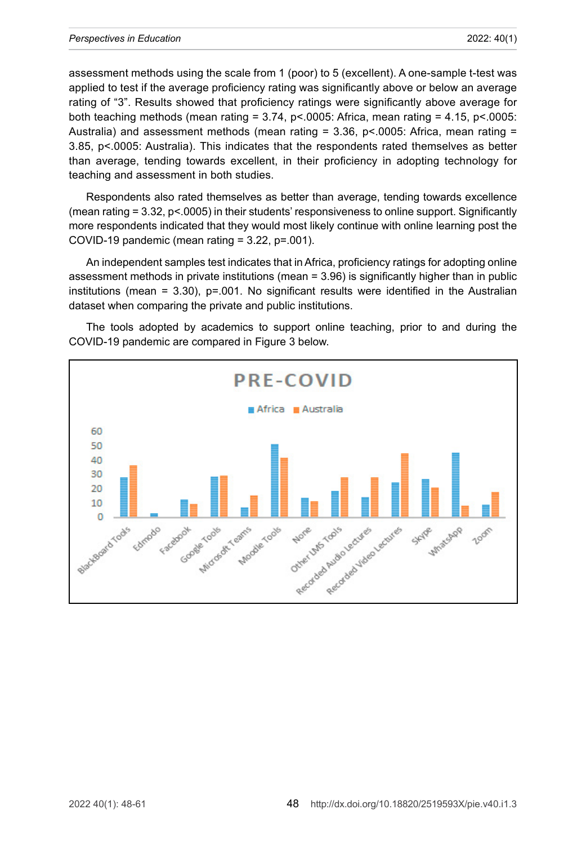assessment methods using the scale from 1 (poor) to 5 (excellent). A one-sample t-test was applied to test if the average proficiency rating was significantly above or below an average rating of "3". Results showed that proficiency ratings were significantly above average for both teaching methods (mean rating  $= 3.74$ , p<.0005: Africa, mean rating  $= 4.15$ , p<.0005: Australia) and assessment methods (mean rating  $= 3.36$ , p<.0005: Africa, mean rating  $=$ 3.85, p<.0005: Australia). This indicates that the respondents rated themselves as better than average, tending towards excellent, in their proficiency in adopting technology for teaching and assessment in both studies.

Respondents also rated themselves as better than average, tending towards excellence (mean rating = 3.32, p<.0005) in their students' responsiveness to online support. Significantly more respondents indicated that they would most likely continue with online learning post the COVID-19 pandemic (mean rating = 3.22, p=.001).

An independent samples test indicates that in Africa, proficiency ratings for adopting online assessment methods in private institutions (mean = 3.96) is significantly higher than in public institutions (mean  $= 3.30$ ), p=.001. No significant results were identified in the Australian dataset when comparing the private and public institutions.



The tools adopted by academics to support online teaching, prior to and during the COVID-19 pandemic are compared in Figure 3 below.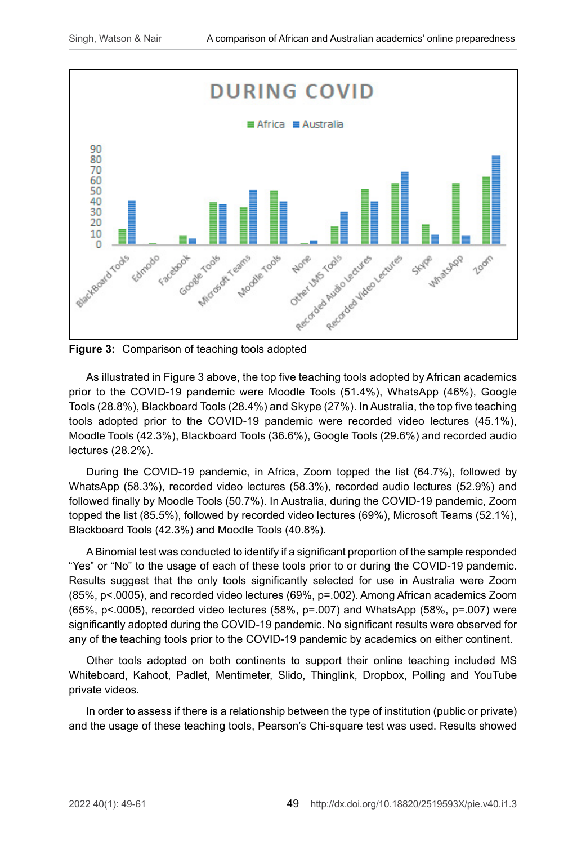

As illustrated in Figure 3 above, the top five teaching tools adopted by African academics prior to the COVID-19 pandemic were Moodle Tools (51.4%), WhatsApp (46%), Google Tools (28.8%), Blackboard Tools (28.4%) and Skype (27%). In Australia, the top five teaching tools adopted prior to the COVID-19 pandemic were recorded video lectures (45.1%), Moodle Tools (42.3%), Blackboard Tools (36.6%), Google Tools (29.6%) and recorded audio lectures (28.2%).

During the COVID-19 pandemic, in Africa, Zoom topped the list (64.7%), followed by WhatsApp (58.3%), recorded video lectures (58.3%), recorded audio lectures (52.9%) and followed finally by Moodle Tools (50.7%). In Australia, during the COVID-19 pandemic, Zoom topped the list (85.5%), followed by recorded video lectures (69%), Microsoft Teams (52.1%), Blackboard Tools (42.3%) and Moodle Tools (40.8%).

A Binomial test was conducted to identify if a significant proportion of the sample responded "Yes" or "No" to the usage of each of these tools prior to or during the COVID-19 pandemic. Results suggest that the only tools significantly selected for use in Australia were Zoom (85%, p<.0005), and recorded video lectures (69%, p=.002). Among African academics Zoom (65%,  $p$ <.0005), recorded video lectures (58%,  $p$ =.007) and WhatsApp (58%,  $p$ =.007) were significantly adopted during the COVID-19 pandemic. No significant results were observed for any of the teaching tools prior to the COVID-19 pandemic by academics on either continent.

Other tools adopted on both continents to support their online teaching included MS Whiteboard, Kahoot, Padlet, Mentimeter, Slido, Thinglink, Dropbox, Polling and YouTube private videos.

In order to assess if there is a relationship between the type of institution (public or private) and the usage of these teaching tools, Pearson's Chi-square test was used. Results showed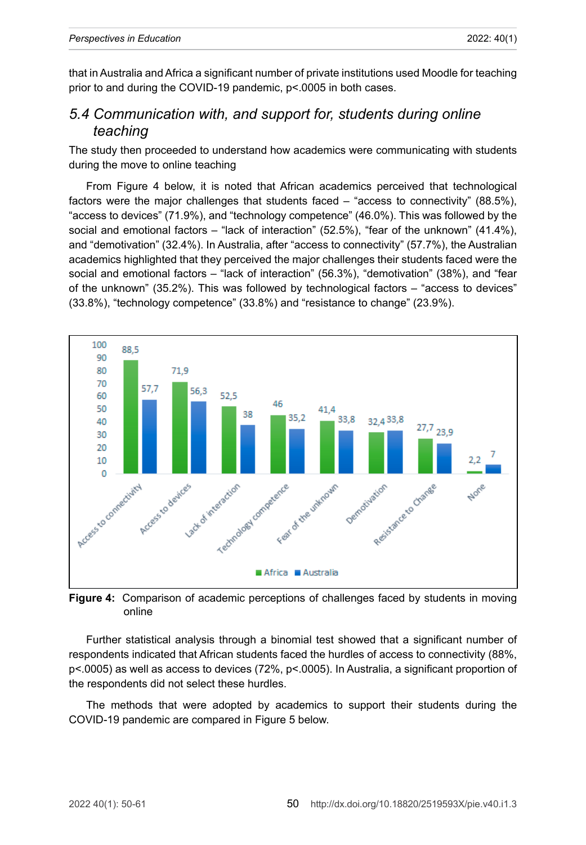that in Australia and Africa a significant number of private institutions used Moodle for teaching prior to and during the COVID-19 pandemic, p<.0005 in both cases.

## *5.4 Communication with, and support for, students during online teaching*

The study then proceeded to understand how academics were communicating with students during the move to online teaching

From Figure 4 below, it is noted that African academics perceived that technological factors were the major challenges that students faced – "access to connectivity" (88.5%), "access to devices" (71.9%), and "technology competence" (46.0%). This was followed by the social and emotional factors – "lack of interaction" (52.5%), "fear of the unknown" (41.4%), and "demotivation" (32.4%). In Australia, after "access to connectivity" (57.7%), the Australian academics highlighted that they perceived the major challenges their students faced were the social and emotional factors – "lack of interaction" (56.3%), "demotivation" (38%), and "fear of the unknown" (35.2%). This was followed by technological factors – "access to devices" (33.8%), "technology competence" (33.8%) and "resistance to change" (23.9%).



**Figure 4:** Comparison of academic perceptions of challenges faced by students in moving online

Further statistical analysis through a binomial test showed that a significant number of respondents indicated that African students faced the hurdles of access to connectivity (88%, p<.0005) as well as access to devices (72%, p<.0005). In Australia, a significant proportion of the respondents did not select these hurdles.

The methods that were adopted by academics to support their students during the COVID-19 pandemic are compared in Figure 5 below.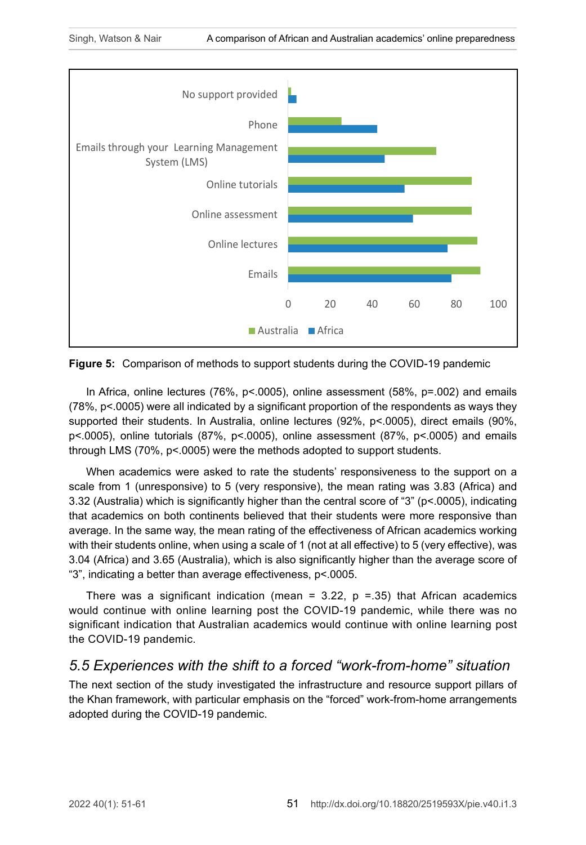

**Figure 5:** Comparison of methods to support students during the COVID-19 pandemic

In Africa, online lectures (76%, p< 0005), online assessment (58%, p=.002) and emails (78%, p<.0005) were all indicated by a significant proportion of the respondents as ways they supported their students. In Australia, online lectures (92%, p<.0005), direct emails (90%, p<.0005), online tutorials (87%, p<.0005), online assessment (87%, p<.0005) and emails through LMS (70%, p<.0005) were the methods adopted to support students.

When academics were asked to rate the students' responsiveness to the support on a scale from 1 (unresponsive) to 5 (very responsive), the mean rating was 3.83 (Africa) and 3.32 (Australia) which is significantly higher than the central score of "3" (p<.0005), indicating that academics on both continents believed that their students were more responsive than average. In the same way, the mean rating of the effectiveness of African academics working with their students online, when using a scale of 1 (not at all effective) to 5 (very effective), was 3.04 (Africa) and 3.65 (Australia), which is also significantly higher than the average score of "3", indicating a better than average effectiveness, p<.0005.

There was a significant indication (mean =  $3.22$ , p =  $.35$ ) that African academics would continue with online learning post the COVID-19 pandemic, while there was no significant indication that Australian academics would continue with online learning post the COVID-19 pandemic.

## *5.5 Experiences with the shift to a forced "work-from-home" situation*

The next section of the study investigated the infrastructure and resource support pillars of the Khan framework, with particular emphasis on the "forced" work-from-home arrangements adopted during the COVID-19 pandemic.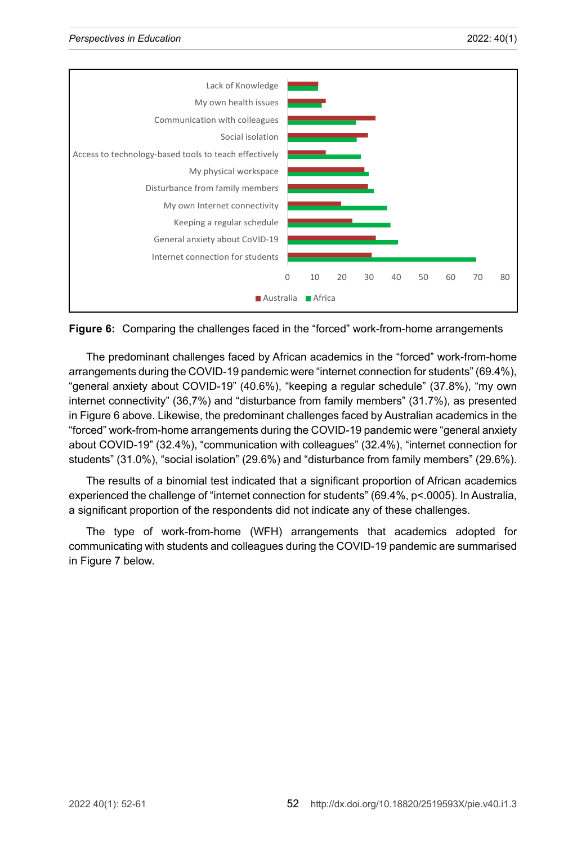

**Figure 6:** Comparing the challenges faced in the "forced" work-from-home arrangements

The predominant challenges faced by African academics in the "forced" work-from-home arrangements during the COVID-19 pandemic were "internet connection for students" (69.4%), "general anxiety about COVID-19" (40.6%), "keeping a regular schedule" (37.8%), "my own internet connectivity" (36,7%) and "disturbance from family members" (31.7%), as presented in Figure 6 above. Likewise, the predominant challenges faced by Australian academics in the "forced" work-from-home arrangements during the COVID-19 pandemic were "general anxiety about COVID-19" (32.4%), "communication with colleagues" (32.4%), "internet connection for students" (31.0%), "social isolation" (29.6%) and "disturbance from family members" (29.6%).

The results of a binomial test indicated that a significant proportion of African academics experienced the challenge of "internet connection for students" (69.4%, p<.0005). In Australia, a significant proportion of the respondents did not indicate any of these challenges.

The type of work-from-home (WFH) arrangements that academics adopted for communicating with students and colleagues during the COVID-19 pandemic are summarised in Figure 7 below.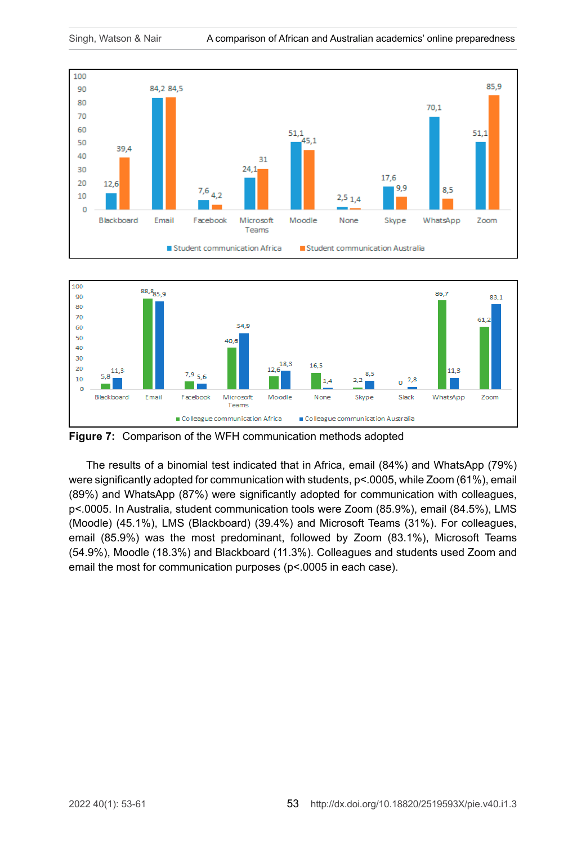



**Figure 7:** Comparison of the WFH communication methods adopted

The results of a binomial test indicated that in Africa, email (84%) and WhatsApp (79%) were significantly adopted for communication with students, p<.0005, while Zoom (61%), email (89%) and WhatsApp (87%) were significantly adopted for communication with colleagues, p<.0005. In Australia, student communication tools were Zoom (85.9%), email (84.5%), LMS (Moodle) (45.1%), LMS (Blackboard) (39.4%) and Microsoft Teams (31%). For colleagues, email (85.9%) was the most predominant, followed by Zoom (83.1%), Microsoft Teams (54.9%), Moodle (18.3%) and Blackboard (11.3%). Colleagues and students used Zoom and email the most for communication purposes (p<.0005 in each case).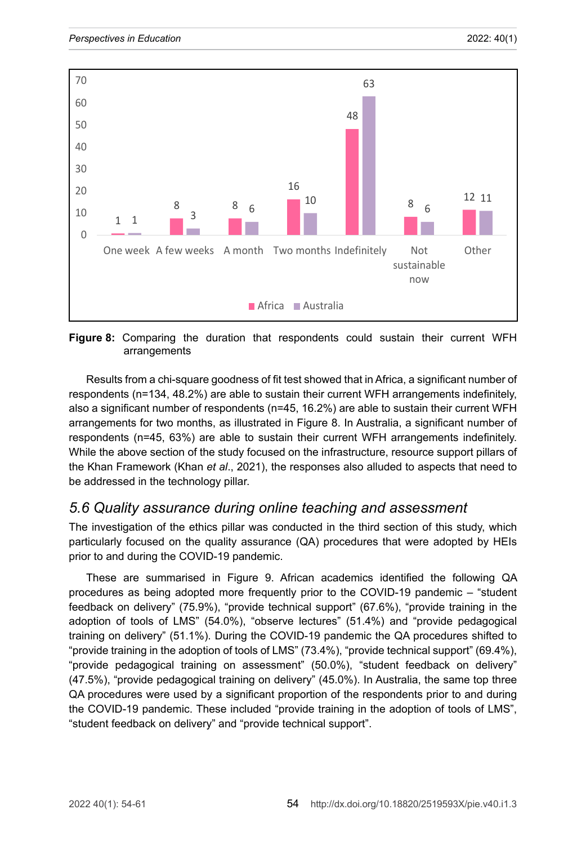

**Figure 8:** Comparing the duration that respondents could sustain their current WFH arrangements

Results from a chi-square goodness of fit test showed that in Africa, a significant number of respondents (n=134, 48.2%) are able to sustain their current WFH arrangements indefinitely, also a significant number of respondents (n=45, 16.2%) are able to sustain their current WFH arrangements for two months, as illustrated in Figure 8. In Australia, a significant number of respondents (n=45, 63%) are able to sustain their current WFH arrangements indefinitely. While the above section of the study focused on the infrastructure, resource support pillars of the Khan Framework (Khan *et al*., 2021), the responses also alluded to aspects that need to be addressed in the technology pillar.

#### *5.6 Quality assurance during online teaching and assessment*

The investigation of the ethics pillar was conducted in the third section of this study, which particularly focused on the quality assurance (QA) procedures that were adopted by HEIs prior to and during the COVID-19 pandemic.

These are summarised in Figure 9. African academics identified the following QA procedures as being adopted more frequently prior to the COVID-19 pandemic – "student feedback on delivery" (75.9%), "provide technical support" (67.6%), "provide training in the adoption of tools of LMS" (54.0%), "observe lectures" (51.4%) and "provide pedagogical training on delivery" (51.1%). During the COVID-19 pandemic the QA procedures shifted to "provide training in the adoption of tools of LMS" (73.4%), "provide technical support" (69.4%), "provide pedagogical training on assessment" (50.0%), "student feedback on delivery" (47.5%), "provide pedagogical training on delivery" (45.0%). In Australia, the same top three QA procedures were used by a significant proportion of the respondents prior to and during the COVID-19 pandemic. These included "provide training in the adoption of tools of LMS", "student feedback on delivery" and "provide technical support".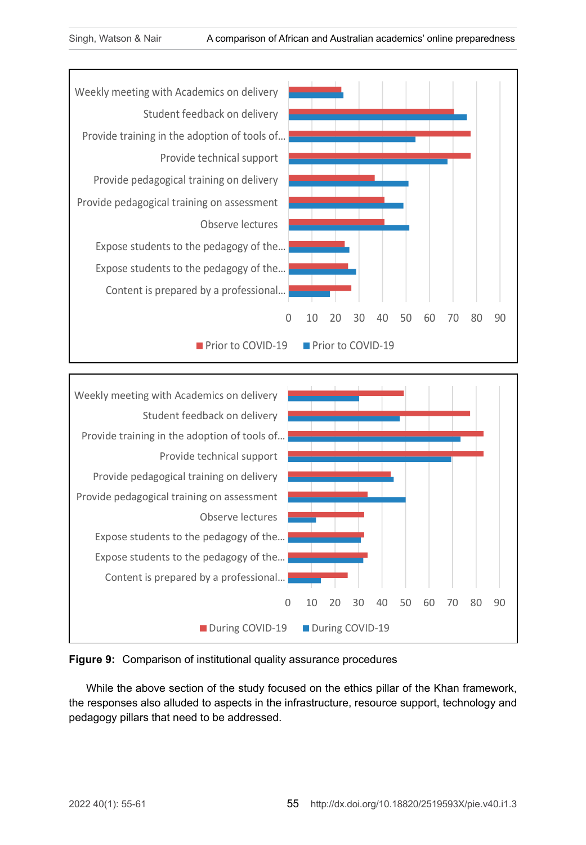



#### **Figure 9:** Comparison of institutional quality assurance procedures

While the above section of the study focused on the ethics pillar of the Khan framework, the responses also alluded to aspects in the infrastructure, resource support, technology and pedagogy pillars that need to be addressed.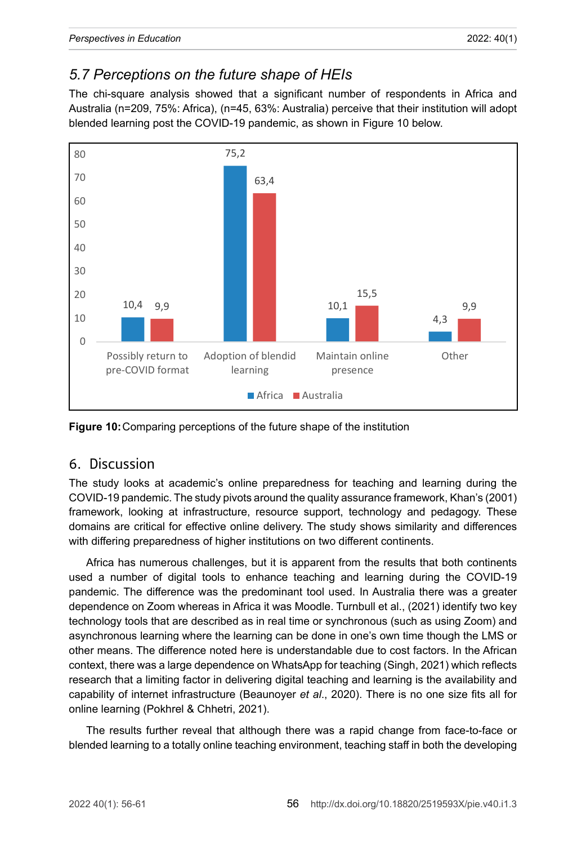# *5.7 Perceptions on the future shape of HEIs*

The chi-square analysis showed that a significant number of respondents in Africa and Australia (n=209, 75%: Africa), (n=45, 63%: Australia) perceive that their institution will adopt blended learning post the COVID-19 pandemic, as shown in Figure 10 below.



**Figure 10:**Comparing perceptions of the future shape of the institution

## 6. Discussion

The study looks at academic's online preparedness for teaching and learning during the COVID-19 pandemic. The study pivots around the quality assurance framework, Khan's (2001) framework, looking at infrastructure, resource support, technology and pedagogy. These domains are critical for effective online delivery. The study shows similarity and differences with differing preparedness of higher institutions on two different continents.

Africa has numerous challenges, but it is apparent from the results that both continents used a number of digital tools to enhance teaching and learning during the COVID-19 pandemic. The difference was the predominant tool used. In Australia there was a greater dependence on Zoom whereas in Africa it was Moodle. Turnbull et al., (2021) identify two key technology tools that are described as in real time or synchronous (such as using Zoom) and asynchronous learning where the learning can be done in one's own time though the LMS or other means. The difference noted here is understandable due to cost factors. In the African context, there was a large dependence on WhatsApp for teaching (Singh, 2021) which reflects research that a limiting factor in delivering digital teaching and learning is the availability and capability of internet infrastructure (Beaunoyer *et al*., 2020). There is no one size fits all for online learning (Pokhrel & Chhetri, 2021).

The results further reveal that although there was a rapid change from face-to-face or blended learning to a totally online teaching environment, teaching staff in both the developing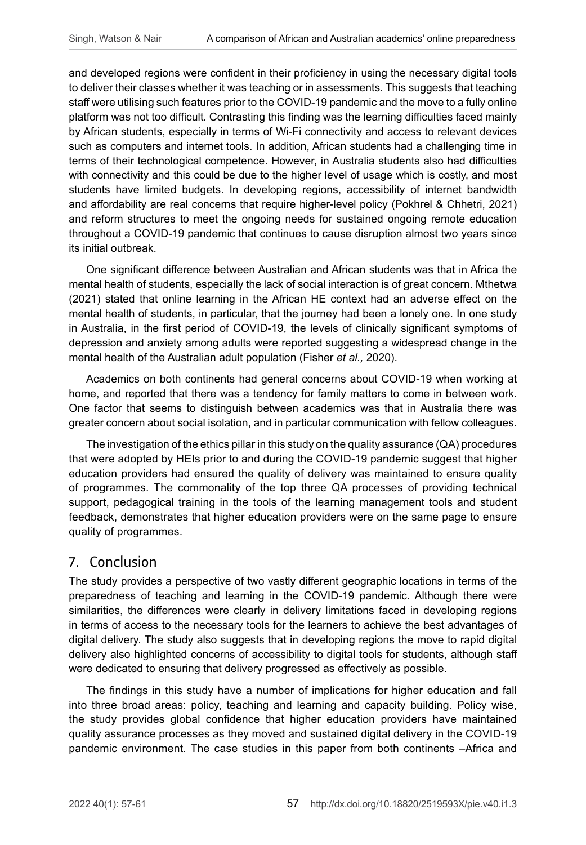and developed regions were confident in their proficiency in using the necessary digital tools to deliver their classes whether it was teaching or in assessments. This suggests that teaching staff were utilising such features prior to the COVID-19 pandemic and the move to a fully online platform was not too difficult. Contrasting this finding was the learning difficulties faced mainly by African students, especially in terms of Wi-Fi connectivity and access to relevant devices such as computers and internet tools. In addition, African students had a challenging time in terms of their technological competence. However, in Australia students also had difficulties with connectivity and this could be due to the higher level of usage which is costly, and most students have limited budgets. In developing regions, accessibility of internet bandwidth and affordability are real concerns that require higher-level policy (Pokhrel & Chhetri, 2021) and reform structures to meet the ongoing needs for sustained ongoing remote education throughout a COVID-19 pandemic that continues to cause disruption almost two years since its initial outbreak.

One significant difference between Australian and African students was that in Africa the mental health of students, especially the lack of social interaction is of great concern. Mthetwa (2021) stated that online learning in the African HE context had an adverse effect on the mental health of students, in particular, that the journey had been a lonely one. In one study in Australia, in the first period of COVID-19, the levels of clinically significant symptoms of depression and anxiety among adults were reported suggesting a widespread change in the mental health of the Australian adult population (Fisher *et al.,* 2020).

Academics on both continents had general concerns about COVID-19 when working at home, and reported that there was a tendency for family matters to come in between work. One factor that seems to distinguish between academics was that in Australia there was greater concern about social isolation, and in particular communication with fellow colleagues.

The investigation of the ethics pillar in this study on the quality assurance (QA) procedures that were adopted by HEIs prior to and during the COVID-19 pandemic suggest that higher education providers had ensured the quality of delivery was maintained to ensure quality of programmes. The commonality of the top three QA processes of providing technical support, pedagogical training in the tools of the learning management tools and student feedback, demonstrates that higher education providers were on the same page to ensure quality of programmes.

#### 7. Conclusion

The study provides a perspective of two vastly different geographic locations in terms of the preparedness of teaching and learning in the COVID-19 pandemic. Although there were similarities, the differences were clearly in delivery limitations faced in developing regions in terms of access to the necessary tools for the learners to achieve the best advantages of digital delivery. The study also suggests that in developing regions the move to rapid digital delivery also highlighted concerns of accessibility to digital tools for students, although staff were dedicated to ensuring that delivery progressed as effectively as possible.

The findings in this study have a number of implications for higher education and fall into three broad areas: policy, teaching and learning and capacity building. Policy wise, the study provides global confidence that higher education providers have maintained quality assurance processes as they moved and sustained digital delivery in the COVID-19 pandemic environment. The case studies in this paper from both continents –Africa and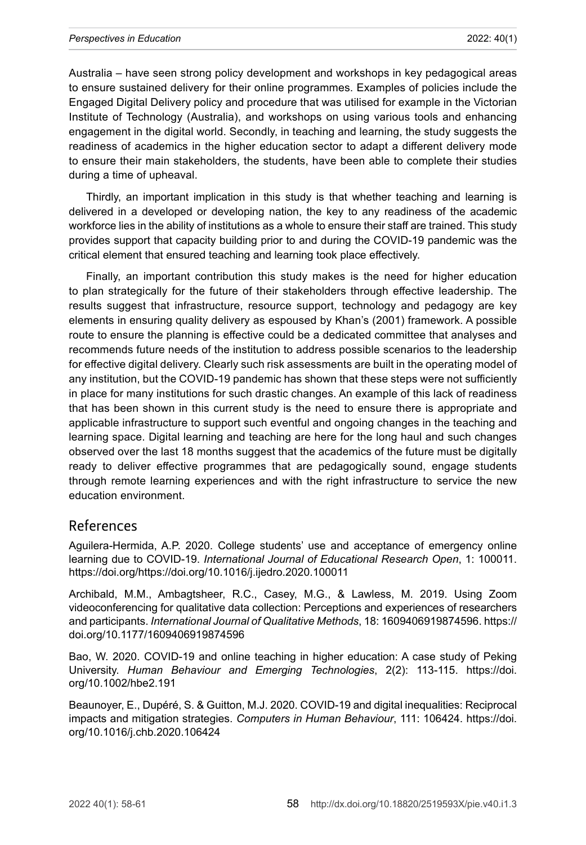Australia – have seen strong policy development and workshops in key pedagogical areas to ensure sustained delivery for their online programmes. Examples of policies include the Engaged Digital Delivery policy and procedure that was utilised for example in the Victorian Institute of Technology (Australia), and workshops on using various tools and enhancing engagement in the digital world. Secondly, in teaching and learning, the study suggests the readiness of academics in the higher education sector to adapt a different delivery mode to ensure their main stakeholders, the students, have been able to complete their studies during a time of upheaval.

Thirdly, an important implication in this study is that whether teaching and learning is delivered in a developed or developing nation, the key to any readiness of the academic workforce lies in the ability of institutions as a whole to ensure their staff are trained. This study provides support that capacity building prior to and during the COVID-19 pandemic was the critical element that ensured teaching and learning took place effectively.

Finally, an important contribution this study makes is the need for higher education to plan strategically for the future of their stakeholders through effective leadership. The results suggest that infrastructure, resource support, technology and pedagogy are key elements in ensuring quality delivery as espoused by Khan's (2001) framework. A possible route to ensure the planning is effective could be a dedicated committee that analyses and recommends future needs of the institution to address possible scenarios to the leadership for effective digital delivery. Clearly such risk assessments are built in the operating model of any institution, but the COVID-19 pandemic has shown that these steps were not sufficiently in place for many institutions for such drastic changes. An example of this lack of readiness that has been shown in this current study is the need to ensure there is appropriate and applicable infrastructure to support such eventful and ongoing changes in the teaching and learning space. Digital learning and teaching are here for the long haul and such changes observed over the last 18 months suggest that the academics of the future must be digitally ready to deliver effective programmes that are pedagogically sound, engage students through remote learning experiences and with the right infrastructure to service the new education environment.

#### References

Aguilera-Hermida, A.P. 2020. College students' use and acceptance of emergency online learning due to COVID-19. *International Journal of Educational Research Open*, 1: 100011. [https://doi.org/https://doi.org/10.1016/j.ijedro.2020.100011](https://doi.org/https:/doi.org/10.1016/j.ijedro.2020.100011)

Archibald, M.M., Ambagtsheer, R.C., Casey, M.G., & Lawless, M. 2019. Using Zoom videoconferencing for qualitative data collection: Perceptions and experiences of researchers and participants. *International Journal of Qualitative Methods*, 18: 1609406919874596. [https://](https://doi.org/10.1177/1609406919874596) [doi.org/10.1177/1609406919874596](https://doi.org/10.1177/1609406919874596)

Bao, W. 2020. COVID-19 and online teaching in higher education: A case study of Peking University. *Human Behaviour and Emerging Technologies*, 2(2): 113-115. [https://doi.](https://doi.org/10.1002/hbe2.191) [org/10.1002/hbe2.191](https://doi.org/10.1002/hbe2.191)

Beaunoyer, E., Dupéré, S. & Guitton, M.J. 2020. COVID-19 and digital inequalities: Reciprocal impacts and mitigation strategies. *Computers in Human Behaviour*, 111: 106424. https://doi. org/10.1016/j.chb.2020.106424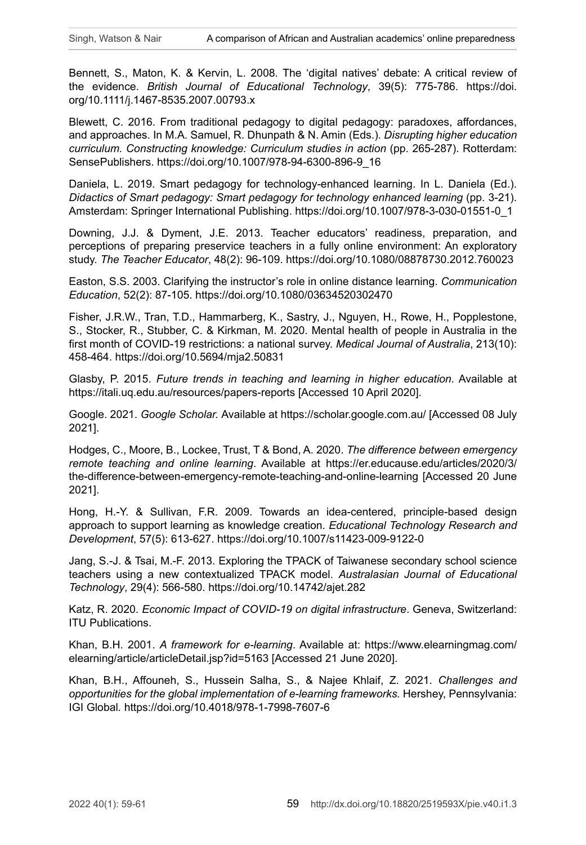Bennett, S., Maton, K. & Kervin, L. 2008. The 'digital natives' debate: A critical review of the evidence. *British Journal of Educational Technology*, 39(5): 775-786. [https://doi.](https://doi.org/10.1111/j.1467-8535.2007.00793.x) [org/10.1111/j.1467-8535.2007.00793.x](https://doi.org/10.1111/j.1467-8535.2007.00793.x)

Blewett, C. 2016. From traditional pedagogy to digital pedagogy: paradoxes, affordances, and approaches. In M.A. Samuel, R. Dhunpath & N. Amin (Eds.). *Disrupting higher education curriculum. Constructing knowledge: Curriculum studies in action* (pp. 265-287). Rotterdam: SensePublishers. [https://doi.org/10.1007/978-94-6300-896-9\\_16](https://doi.org/10.1007/978-94-6300-896-9_16)

Daniela, L. 2019. Smart pedagogy for technology-enhanced learning. In L. Daniela (Ed.). *Didactics of Smart pedagogy: Smart pedagogy for technology enhanced learning* (pp. 3-21). Amsterdam: Springer International Publishing. [https://doi.org/10.1007/978-3-030-01551-0\\_1](https://doi.org/10.1007/978-3-030-01551-0_1)

Downing, J.J. & Dyment, J.E. 2013. Teacher educators' readiness, preparation, and perceptions of preparing preservice teachers in a fully online environment: An exploratory study. *The Teacher Educator*, 48(2): 96-109.<https://doi.org/10.1080/08878730.2012.760023>

Easton, S.S. 2003. Clarifying the instructor's role in online distance learning. *Communication Education*, 52(2): 87-105. <https://doi.org/10.1080/03634520302470>

Fisher, J.R.W., Tran, T.D., Hammarberg, K., Sastry, J., Nguyen, H., Rowe, H., Popplestone, S., Stocker, R., Stubber, C. & Kirkman, M. 2020. Mental health of people in Australia in the first month of COVID-19 restrictions: a national survey. *Medical Journal of Australia*, 213(10): 458-464. <https://doi.org/10.5694/mja2.50831>

Glasby, P. 2015. *Future trends in teaching and learning in higher education*. Available at <https://itali.uq.edu.au/resources/papers-reports>[Accessed 10 April 2020].

Google. 2021. *Google Scholar.* Available at <https://scholar.google.com.au/> [Accessed 08 July 2021].

Hodges, C., Moore, B., Lockee, Trust, T & Bond, A. 2020. *The difference between emergency remote teaching and online learning*. Available at [https://er.educause.edu/articles/2020/3/](https://er.educause.edu/articles/2020/3/the-difference-between-emergency-remote-teaching-and-online-learning) [the-difference-between-emergency-remote-teaching-and-online-learning](https://er.educause.edu/articles/2020/3/the-difference-between-emergency-remote-teaching-and-online-learning) [Accessed 20 June 2021].

Hong, H.-Y. & Sullivan, F.R. 2009. Towards an idea-centered, principle-based design approach to support learning as knowledge creation. *Educational Technology Research and Development*, 57(5): 613-627. <https://doi.org/10.1007/s11423-009-9122-0>

Jang, S.-J. & Tsai, M.-F. 2013. Exploring the TPACK of Taiwanese secondary school science teachers using a new contextualized TPACK model. *Australasian Journal of Educational Technology*, 29(4): 566-580.<https://doi.org/10.14742/ajet.282>

Katz, R. 2020. *Economic Impact of COVID-19 on digital infrastructure*. Geneva, Switzerland: ITU Publications.

Khan, B.H. 2001. *A framework for e-learning*. Available at: [https://www.elearningmag.com/](https://www.elearningmag.com/elearning/article/articleDetail.jsp?id=5163) [elearning/article/articleDetail.jsp?id=5163](https://www.elearningmag.com/elearning/article/articleDetail.jsp?id=5163) [Accessed 21 June 2020].

Khan, B.H., Affouneh, S., Hussein Salha, S., & Najee Khlaif, Z. 2021. *Challenges and opportunities for the global implementation of e-learning frameworks.* Hershey, Pennsylvania: IGI Global*.* <https://doi.org/10.4018/978-1-7998-7607-6>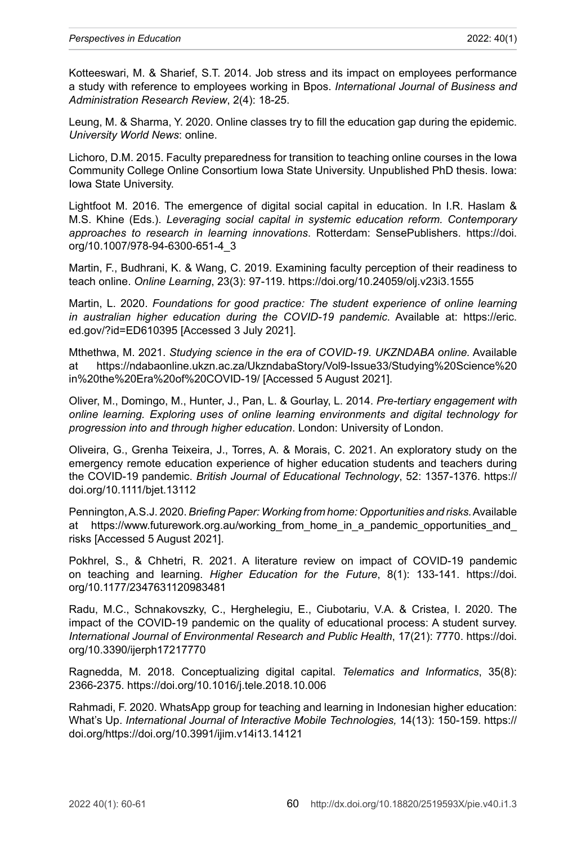Kotteeswari, M. & Sharief, S.T. 2014. Job stress and its impact on employees performance a study with reference to employees working in Bpos. *International Journal of Business and Administration Research Review*, 2(4): 18-25.

Leung, M. & Sharma, Y. 2020. Online classes try to fill the education gap during the epidemic. *University World News*: online.

Lichoro, D.M. 2015. Faculty preparedness for transition to teaching online courses in the Iowa Community College Online Consortium Iowa State University. Unpublished PhD thesis. Iowa: Iowa State University.

Lightfoot M. 2016. The emergence of digital social capital in education. In I.R. Haslam & M.S. Khine (Eds.). *Leveraging social capital in systemic education reform. Contemporary approaches to research in learning innovations*. Rotterdam: SensePublishers. [https://doi.](https://doi.org/10.1007/978-94-6300-651-4_3) [org/10.1007/978-94-6300-651-4\\_3](https://doi.org/10.1007/978-94-6300-651-4_3)

Martin, F., Budhrani, K. & Wang, C. 2019. Examining faculty perception of their readiness to teach online. *Online Learning*, 23(3): 97-119.<https://doi.org/10.24059/olj.v23i3.1555>

Martin, L. 2020. *Foundations for good practice: The student experience of online learning in australian higher education during the COVID-19 pandemic*. Available at: [https://eric.](https://eric.ed.gov/?id=ED610395) [ed.gov/?id=ED610395](https://eric.ed.gov/?id=ED610395) [Accessed 3 July 2021].

Mthethwa, M. 2021. *Studying science in the era of COVID-19. UKZNDABA online.* Available at [https://ndabaonline.ukzn.ac.za/UkzndabaStory/Vol9-Issue33/Studying%20Science%20](https://ndabaonline.ukzn.ac.za/UkzndabaStory/Vol9-Issue33/Studying%20Science%20in%20the%20Era%20of%20COVID-19/) [in%20the%20Era%20of%20COVID-19/](https://ndabaonline.ukzn.ac.za/UkzndabaStory/Vol9-Issue33/Studying%20Science%20in%20the%20Era%20of%20COVID-19/) [Accessed 5 August 2021].

Oliver, M., Domingo, M., Hunter, J., Pan, L. & Gourlay, L. 2014. *Pre-tertiary engagement with online learning. Exploring uses of online learning environments and digital technology for progression into and through higher education*. London: University of London.

Oliveira, G., Grenha Teixeira, J., Torres, A. & Morais, C. 2021. An exploratory study on the emergency remote education experience of higher education students and teachers during the COVID-19 pandemic. *British Journal of Educational Technology*, 52: 1357-1376. [https://](https://doi.org/10.1111/bjet.13112) [doi.org/10.1111/bjet.13112](https://doi.org/10.1111/bjet.13112)

Pennington, A.S.J. 2020. *Briefing Paper: Working from home: Opportunities and risks.* Available at https://www.futurework.org.au/working\_from\_home\_in\_a\_pandemic\_opportunities\_and [risks](https://www.futurework.org.au/working_from_home_in_a_pandemic_opportunities_and_risks) [Accessed 5 August 2021].

Pokhrel, S., & Chhetri, R. 2021. A literature review on impact of COVID-19 pandemic on teaching and learning. *Higher Education for the Future*, 8(1): 133-141. [https://doi.](https://doi.org/10.1177/2347631120983481) [org/10.1177/2347631120983481](https://doi.org/10.1177/2347631120983481)

Radu, M.C., Schnakovszky, C., Herghelegiu, E., Ciubotariu, V.A. & Cristea, I. 2020. The impact of the COVID-19 pandemic on the quality of educational process: A student survey. *International Journal of Environmental Research and Public Health*, 17(21): 7770. [https://doi.](https://doi.org/10.3390/ijerph17217770) [org/10.3390/ijerph17217770](https://doi.org/10.3390/ijerph17217770)

Ragnedda, M. 2018. Conceptualizing digital capital. *Telematics and Informatics*, 35(8): 2366-2375. <https://doi.org/10.1016/j.tele.2018.10.006>

Rahmadi, F. 2020. WhatsApp group for teaching and learning in Indonesian higher education: What's Up. *International Journal of Interactive Mobile Technologies,* 14(13): 150-159. [https://](https://doi.org/https://doi.org/10.3991/ijim.v14i13.14121) [doi.org/https://doi.org/10.3991/ijim.v14i13.14121](https://doi.org/https://doi.org/10.3991/ijim.v14i13.14121)